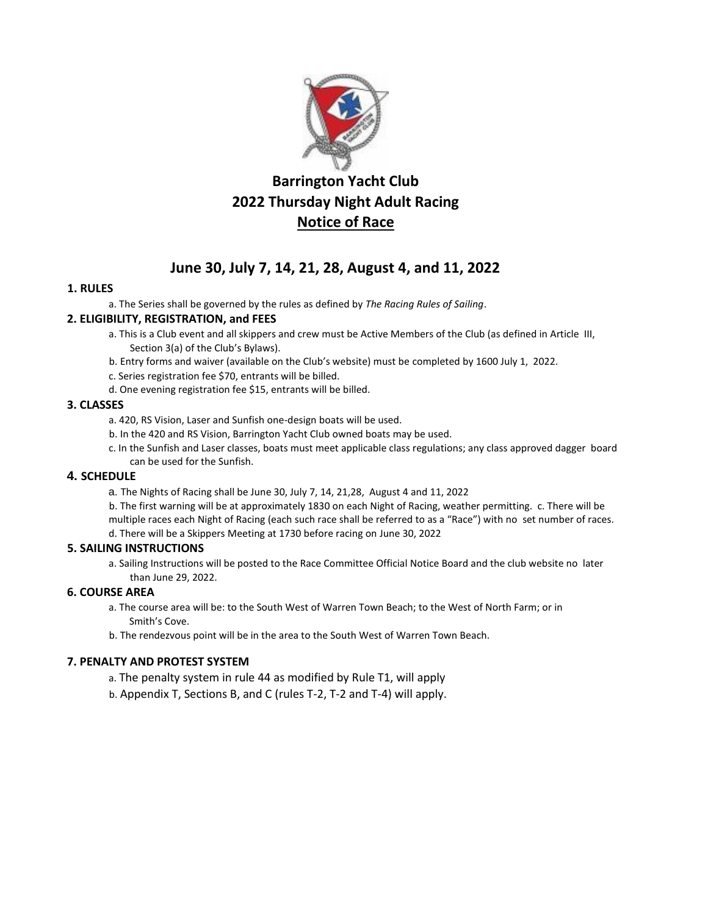

# **Barrington Yacht Club 2022 Thursday Night Adult Racing Notice of Race**

# **June 30, July 7, 14, 21, 28, August 4, and 11, 2022**

# **1. RULES**

a. The Series shall be governed by the rules as defined by *The Racing Rules of Sailing*.

#### **2. ELIGIBILITY, REGISTRATION, and FEES**

- a. This is a Club event and all skippers and crew must be Active Members of the Club (as defined in Article III, Section 3(a) of the Club's Bylaws).
- b. Entry forms and waiver (available on the Club's website) must be completed by 1600 July 1, 2022.
- c. Series registration fee \$70, entrants will be billed.
- d. One evening registration fee \$15, entrants will be billed.

#### **3. CLASSES**

- a. 420, RS Vision, Laser and Sunfish one-design boats will be used.
- b. In the 420 and RS Vision, Barrington Yacht Club owned boats may be used.
- c. In the Sunfish and Laser classes, boats must meet applicable class regulations; any class approved dagger board can be used for the Sunfish.

# **4. SCHEDULE**

a. The Nights of Racing shall be June 30, July 7, 14, 21,28, August 4 and 11, 2022

b. The first warning will be at approximately 1830 on each Night of Racing, weather permitting. c. There will be multiple races each Night of Racing (each such race shall be referred to as a "Race") with no set number of races. d. There will be a Skippers Meeting at 1730 before racing on June 30, 2022

#### **5. SAILING INSTRUCTIONS**

a. Sailing Instructions will be posted to the Race Committee Official Notice Board and the club website no later than June 29, 2022.

#### **6. COURSE AREA**

- a. The course area will be: to the South West of Warren Town Beach; to the West of North Farm; or in Smith's Cove.
- b. The rendezvous point will be in the area to the South West of Warren Town Beach.

# **7. PENALTY AND PROTEST SYSTEM**

- a. The penalty system in rule 44 as modified by Rule T1, will apply
- b. Appendix T, Sections B, and C (rules T-2, T-2 and T-4) will apply.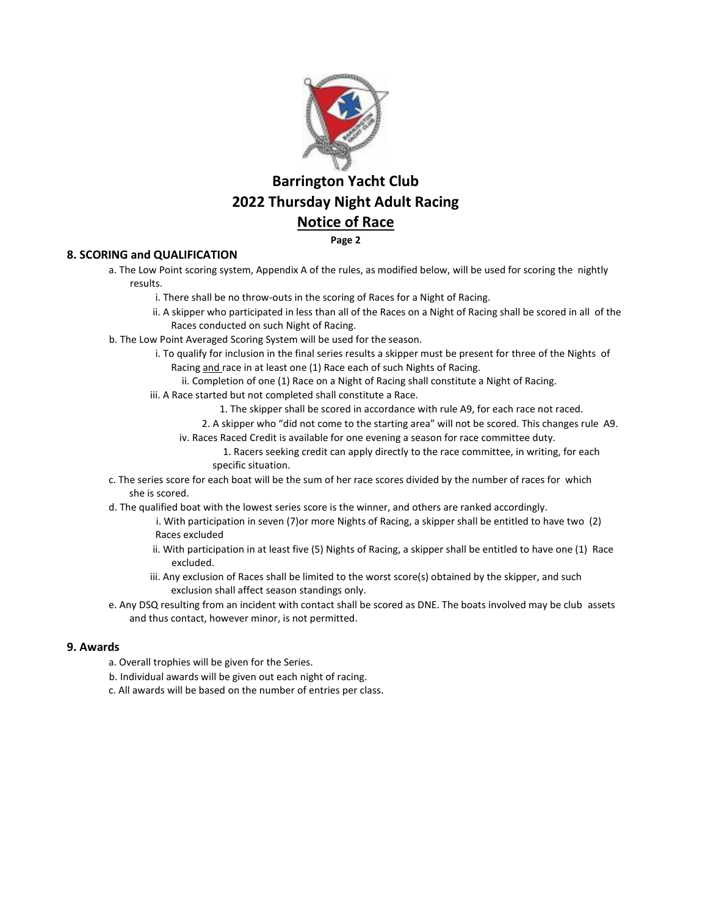

# **Barrington Yacht Club 2022 Thursday Night Adult Racing Notice of Race**

**Page 2** 

### **8. SCORING and QUALIFICATION**

- a. The Low Point scoring system, Appendix A of the rules, as modified below, will be used for scoring the nightly results.
	- i. There shall be no throw-outs in the scoring of Races for a Night of Racing.
	- ii. A skipper who participated in less than all of the Races on a Night of Racing shall be scored in all of the Races conducted on such Night of Racing.
- b. The Low Point Averaged Scoring System will be used for the season.
	- i. To qualify for inclusion in the final series results a skipper must be present for three of the Nights of Racing and race in at least one (1) Race each of such Nights of Racing.
		- ii. Completion of one (1) Race on a Night of Racing shall constitute a Night of Racing.
	- iii. A Race started but not completed shall constitute a Race.
		- 1. The skipper shall be scored in accordance with rule A9, for each race not raced.
		- 2. A skipper who "did not come to the starting area" will not be scored. This changes rule A9.
		- iv. Races Raced Credit is available for one evening a season for race committee duty.
			- 1. Racers seeking credit can apply directly to the race committee, in writing, for each specific situation.
- c. The series score for each boat will be the sum of her race scores divided by the number of races for which she is scored.
- d. The qualified boat with the lowest series score is the winner, and others are ranked accordingly.
	- i. With participation in seven (7)or more Nights of Racing, a skipper shall be entitled to have two (2) Races excluded
	- ii. With participation in at least five (5) Nights of Racing, a skipper shall be entitled to have one (1) Race excluded.
	- iii. Any exclusion of Races shall be limited to the worst score(s) obtained by the skipper, and such exclusion shall affect season standings only.
- e. Any DSQ resulting from an incident with contact shall be scored as DNE. The boats involved may be club assets and thus contact, however minor, is not permitted.

### **9. Awards**

- a. Overall trophies will be given for the Series.
- b. Individual awards will be given out each night of racing.
- c. All awards will be based on the number of entries per class.